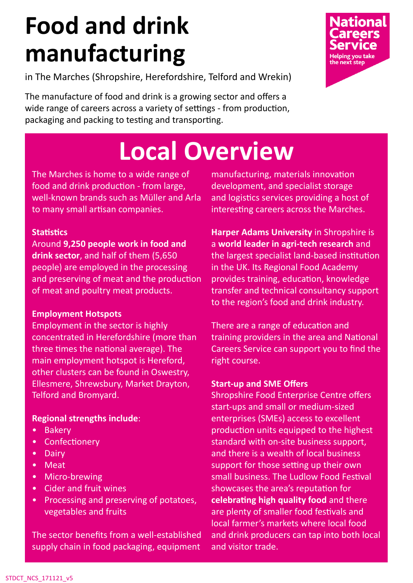# **Food and drink manufacturing**

in The Marches (Shropshire, Herefordshire, Telford and Wrekin)

The manufacture of food and drink is a growing sector and offers a wide range of careers across a variety of settings - from production, packaging and packing to testing and transporting.

# **Local Overview**

The Marches is home to a wide range of food and drink production - from large, well-known brands such as Müller and Arla to many small artisan companies.

#### **Statistics**

Around **9,250 people work in food and drink sector**, and half of them (5,650 people) are employed in the processing and preserving of meat and the production of meat and poultry meat products.

### **Employment Hotspots**

Employment in the sector is highly concentrated in Herefordshire (more than three times the national average). The main employment hotspot is Hereford, other clusters can be found in Oswestry, Ellesmere, Shrewsbury, Market Drayton, Telford and Bromyard.

### **Regional strengths include**:

- **Bakery**
- Confectionery
- Dairy
- Meat
- Micro-brewing
- Cider and fruit wines
- Processing and preserving of potatoes, vegetables and fruits

The sector benefits from a well-established supply chain in food packaging, equipment

manufacturing, materials innovation development, and specialist storage and logistics services providing a host of interesting careers across the Marches.

**Harper Adams University** in Shropshire is a **world leader in agri-tech research** and the largest specialist land-based institution in the UK. Its Regional Food Academy provides training, education, knowledge transfer and technical consultancy support to the region's food and drink industry.

There are a range of education and training providers in the area and National Careers Service can support you to find the right course.

### **Start-up and SME Offers**

Shropshire Food Enterprise Centre offers start-ups and small or medium-sized enterprises (SMEs) access to excellent production units equipped to the highest standard with on-site business support, and there is a wealth of local business support for those setting up their own small business. The Ludlow Food Festival showcases the area's reputation for **celebrating high quality food** and there are plenty of smaller food festivals and local farmer's markets where local food and drink producers can tap into both local and visitor trade.



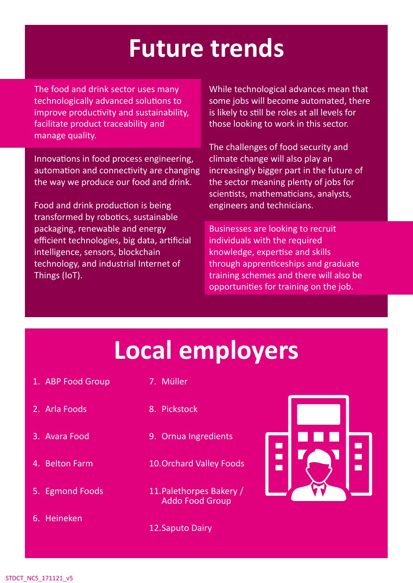## **Future trends**

The food and drink sector uses many technologically advanced solutions to improve productivity and sustainability, facilitate product traceability and manage quality.

Innovations in food process engineering, automation and connectivity are changing the way we produce our food and drink.

Food and drink production is being transformed by robotics, sustainable packaging, renewable and energy efficient technologies, big data, artificial intelligence, sensors, blockchain technology, and industrial Internet of Things (IoT).

While technological advances mean that some jobs will become automated, there is likely to still be roles at all levels for those looking to work in this sector.

The challenges of food security and climate change will also play an increasingly bigger part in the future of the sector meaning plenty of jobs for scientists, mathematicians, analysts, engineers and technicians.

Businesses are looking to recruit individuals with the required knowledge, expertise and skills through apprenticeships and graduate training schemes and there will also be opportunities for training on the job.

### **Local employers**

- 1. ABP Food Group
- 7. Müller

- 2. Arla Foods
- 3. Avara Food
- 4. Belton Farm
- 5. Egmond Foods
- 6. Heineken
- 8. Pickstock
- 9. Ornua Ingredients
- 10.Orchard Valley Foods
- 11.Palethorpes Bakery / Addo Food Group
- 12.Saputo Dairy

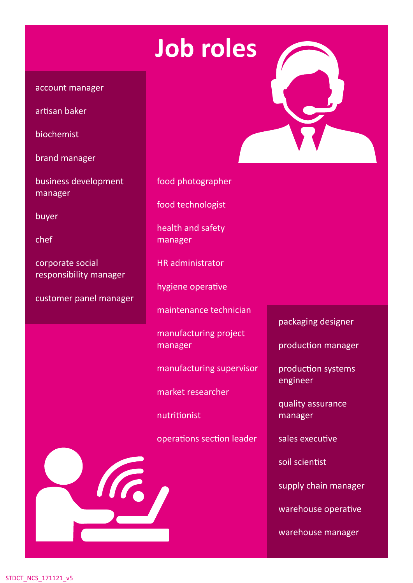## **Job roles**

#### account manager

artisan baker

biochemist

brand manager

business development manager

**buyer** 

chef

corporate social responsibility manager

customer panel manager

food photographer

food technologist

health and safety manager

HR administrator

hygiene operative

maintenance technician

manufacturing project manager

manufacturing supervisor

market researcher

nutritionist

operations section leader



packaging designer

production manager

production systems engineer

quality assurance manager

sales executive

soil scientist

supply chain manager

warehouse operative

warehouse manager

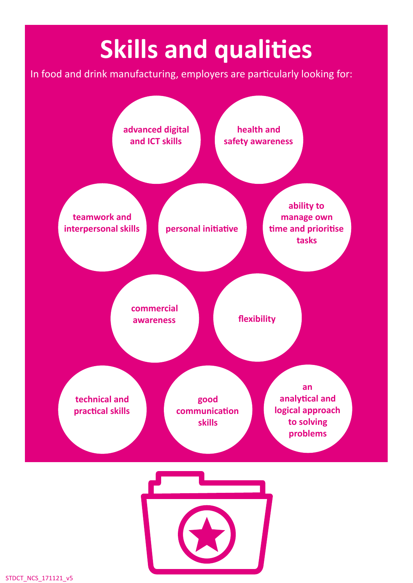# **Skills and qualities**

In food and drink manufacturing, employers are particularly looking for: